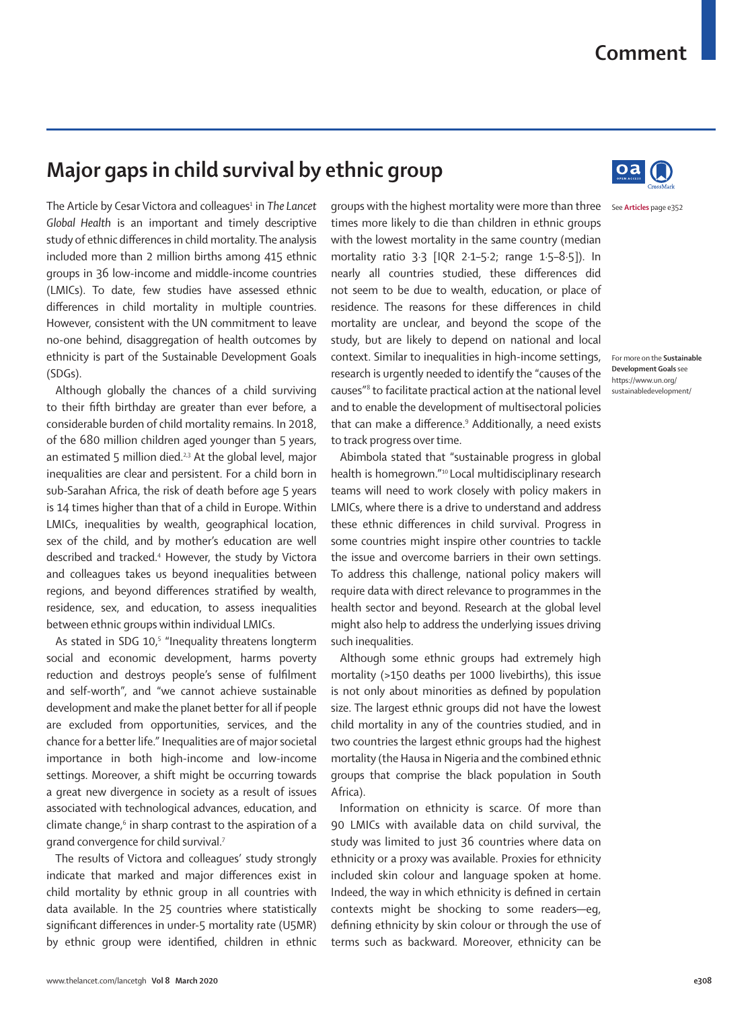## **Comment**

## **Major gaps in child survival by ethnic group**

The Article by Cesar Victora and colleagues<sup>1</sup> in The Lancet *Global Health* is an important and timely descriptive study of ethnic differences in child mortality. The analysis included more than 2 million births among 415 ethnic groups in 36 low-income and middle-income countries (LMICs). To date, few studies have assessed ethnic differences in child mortality in multiple countries. However, consistent with the UN commitment to leave no-one behind, disaggregation of health outcomes by ethnicity is part of the [Sustainable Development Goals](https://www.un.org/sustainabledevelopment/) (SDGs).

Although globally the chances of a child surviving to their fifth birthday are greater than ever before, a considerable burden of child mortality remains. In 2018, of the 680 million children aged younger than 5 years, an estimated 5 million died.<sup>2,3</sup> At the global level, major inequalities are clear and persistent. For a child born in sub-Sarahan Africa, the risk of death before age 5 years is 14 times higher than that of a child in Europe. Within LMICs, inequalities by wealth, geographical location, sex of the child, and by mother's education are well described and tracked.4 However, the study by Victora and colleagues takes us beyond inequalities between regions, and beyond differences stratified by wealth, residence, sex, and education, to assess inequalities between ethnic groups within individual LMICs.

As stated in SDG 10,<sup>5</sup> "Inequality threatens longterm social and economic development, harms poverty reduction and destroys people's sense of fulfilment and self-worth", and "we cannot achieve sustainable development and make the planet better for all if people are excluded from opportunities, services, and the chance for a better life." Inequalities are of major societal importance in both high-income and low-income settings. Moreover, a shift might be occurring towards a great new divergence in society as a result of issues associated with technological advances, education, and climate change,<sup>6</sup> in sharp contrast to the aspiration of a grand convergence for child survival.7

The results of Victora and colleagues' study strongly indicate that marked and major differences exist in child mortality by ethnic group in all countries with data available. In the 25 countries where statistically significant differences in under-5 mortality rate (U5MR) by ethnic group were identified, children in ethnic

groups with the highest mortality were more than three See **Articles** page e352times more likely to die than children in ethnic groups with the lowest mortality in the same country (median mortality ratio 3·3 [IQR 2·1–5·2; range 1·5–8·5]). In nearly all countries studied, these differences did not seem to be due to wealth, education, or place of residence. The reasons for these differences in child mortality are unclear, and beyond the scope of the study, but are likely to depend on national and local context. Similar to inequalities in high-income settings, research is urgently needed to identify the "causes of the causes"8 to facilitate practical action at the national level and to enable the development of multisectoral policies that can make a difference.<sup>9</sup> Additionally, a need exists to track progress over time.

Abimbola stated that "sustainable progress in global health is homegrown."10 Local multidisciplinary research teams will need to work closely with policy makers in LMICs, where there is a drive to understand and address these ethnic differences in child survival. Progress in some countries might inspire other countries to tackle the issue and overcome barriers in their own settings. To address this challenge, national policy makers will require data with direct relevance to programmes in the health sector and beyond. Research at the global level might also help to address the underlying issues driving such inequalities.

Although some ethnic groups had extremely high mortality (>150 deaths per 1000 livebirths), this issue is not only about minorities as defined by population size. The largest ethnic groups did not have the lowest child mortality in any of the countries studied, and in two countries the largest ethnic groups had the highest mortality (the Hausa in Nigeria and the combined ethnic groups that comprise the black population in South Africa).

Information on ethnicity is scarce. Of more than 90 LMICs with available data on child survival, the study was limited to just 36 countries where data on ethnicity or a proxy was available. Proxies for ethnicity included skin colour and language spoken at home. Indeed, the way in which ethnicity is defined in certain contexts might be shocking to some readers—eg, defining ethnicity by skin colour or through the use of terms such as backward. Moreover, ethnicity can be